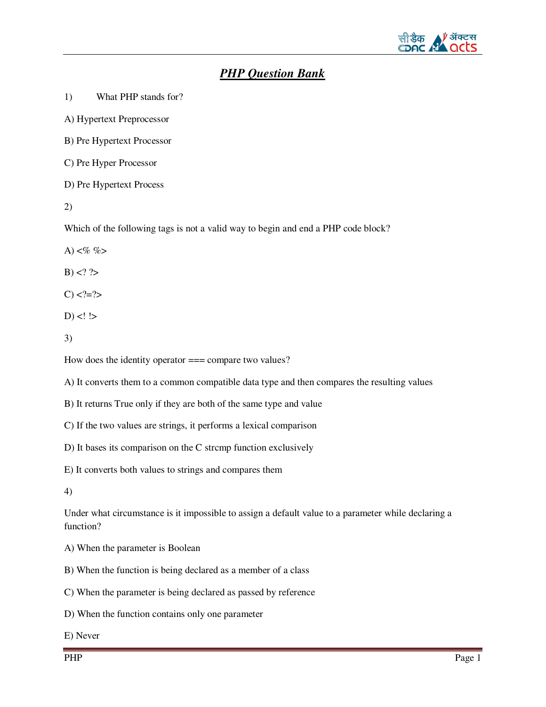

# *PHP Question Bank*

1) What PHP stands for?

A) Hypertext Preprocessor

B) Pre Hypertext Processor

C) Pre Hyper Processor

D) Pre Hypertext Process

2)

Which of the following tags is not a valid way to begin and end a PHP code block?

A)  $<\!\!\%$  %>

 $B) < ? >$ 

 $C$ ) <?=?>

 $D)$  <! !>

3)

How does the identity operator === compare two values?

A) It converts them to a common compatible data type and then compares the resulting values

B) It returns True only if they are both of the same type and value

C) If the two values are strings, it performs a lexical comparison

D) It bases its comparison on the C strcmp function exclusively

E) It converts both values to strings and compares them

4)

Under what circumstance is it impossible to assign a default value to a parameter while declaring a function?

A) When the parameter is Boolean

B) When the function is being declared as a member of a class

C) When the parameter is being declared as passed by reference

D) When the function contains only one parameter

E) Never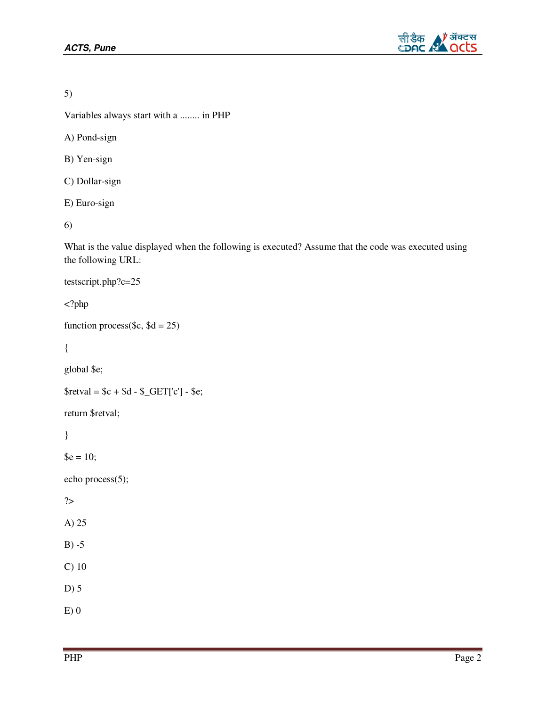

5)

Variables always start with a ........ in PHP

A) Pond-sign

B) Yen-sign

C) Dollar-sign

E) Euro-sign

6)

What is the value displayed when the following is executed? Assume that the code was executed using the following URL:

testscript.php?c=25

<?php

```
function process($c, d = 25)
```
{

global \$e;

```
$retval = $c + $d - $_{GET['c'] - $e$};
```
return \$retval;

}

 $\text{$e = 10$};$ 

echo process(5);

?>

A) 25

 $B) - 5$ 

C) 10

D) 5

E) 0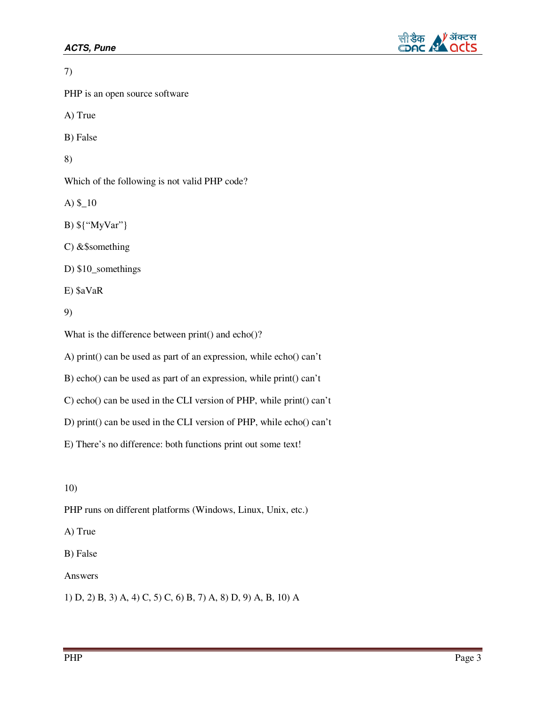

7) PHP is an open source software A) True B) False 8) Which of the following is not valid PHP code? A) \$\_10 B) \${"MyVar"} C) &\$something D) \$10\_somethings E) \$aVaR 9) What is the difference between print() and echo()? A) print() can be used as part of an expression, while echo() can't B) echo() can be used as part of an expression, while print() can't

C) echo() can be used in the CLI version of PHP, while print() can't

D) print() can be used in the CLI version of PHP, while echo() can't

E) There's no difference: both functions print out some text!

10)

PHP runs on different platforms (Windows, Linux, Unix, etc.)

A) True

B) False

Answers

1) D, 2) B, 3) A, 4) C, 5) C, 6) B, 7) A, 8) D, 9) A, B, 10) A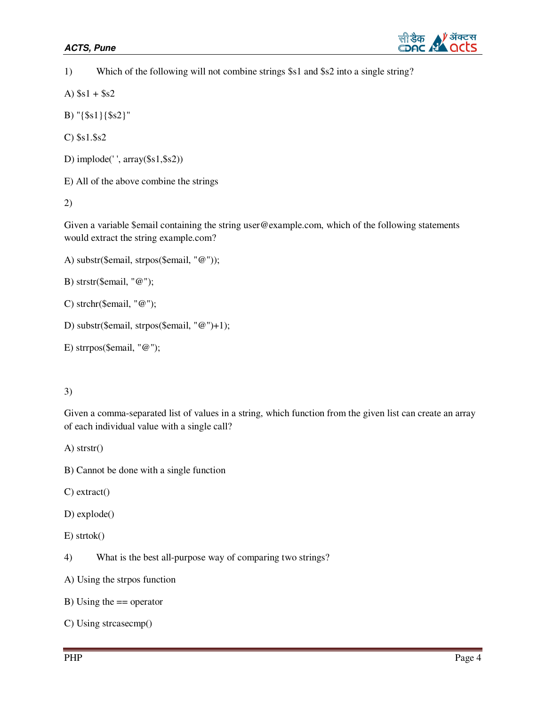

1) Which of the following will not combine strings \$s1 and \$s2 into a single string?

A)  $$s1 + $s2$ 

B) "{\$s1}{\$s2}"

C) \$s1.\$s2

D) implode(' ', array(\$s1,\$s2))

E) All of the above combine the strings

2)

Given a variable \$email containing the string user@example.com, which of the following statements would extract the string example.com?

```
A) substr($email, strpos($email, "@"));
```
B) strstr(\$email, "@");

```
C) strchr($email, "@");
```

```
D) substr($email, strpos($email, "@")+1);
```

```
E) strrpos($email, "@");
```
### 3)

Given a comma-separated list of values in a string, which function from the given list can create an array of each individual value with a single call?

A) strstr()

- B) Cannot be done with a single function
- C) extract()

D) explode()

```
E) strtok()
```
4) What is the best all-purpose way of comparing two strings?

A) Using the strpos function

B) Using the  $==$  operator

```
C) Using strcasecmp()
```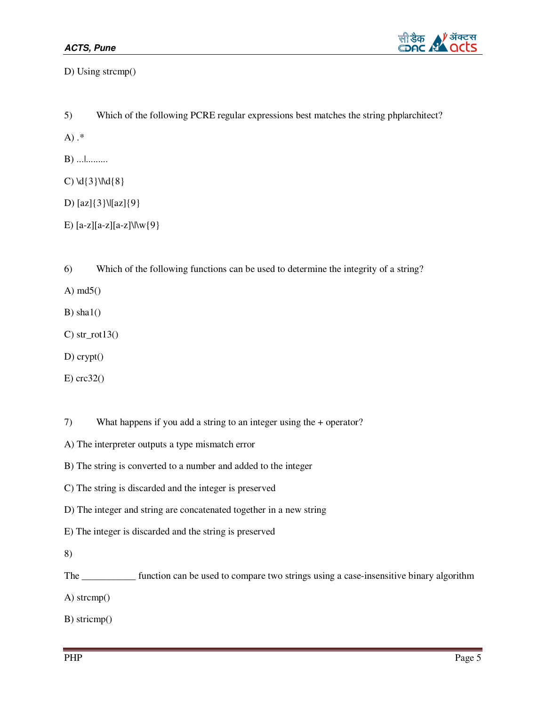

D) Using strcmp()

5) Which of the following PCRE regular expressions best matches the string php|architect?

A) .\*

B) ...|.........

C)  $\{3\} \{8\}$ 

D) [az]{3}\|[az]{9}

E)  $[a-z][a-z][a-z]\wedge(y\}$ 

6) Which of the following functions can be used to determine the integrity of a string?

A) md5()

B) sha $1()$ 

C) str\_rot $13()$ 

D) crypt()

E) crc32()

7) What happens if you add a string to an integer using the + operator?

- A) The interpreter outputs a type mismatch error
- B) The string is converted to a number and added to the integer
- C) The string is discarded and the integer is preserved
- D) The integer and string are concatenated together in a new string
- E) The integer is discarded and the string is preserved
- 8)

The \_\_\_\_\_\_\_\_\_\_\_ function can be used to compare two strings using a case-insensitive binary algorithm

A) strcmp()

B) stricmp()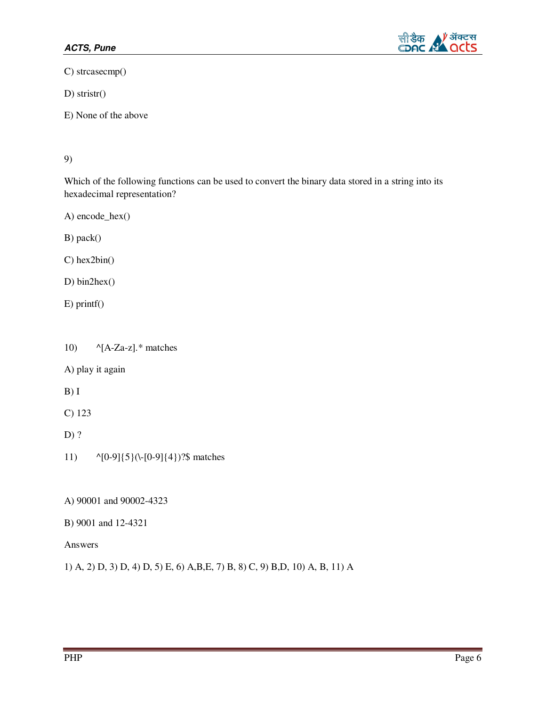

C) strcasecmp()

D) stristr()

E) None of the above

#### 9)

Which of the following functions can be used to convert the binary data stored in a string into its hexadecimal representation?

A) encode\_hex()

B) pack()

C) hex2bin()

D) bin2hex()

E) printf()

10)  $\lambda[A-Za-z].$ <sup>\*</sup> matches

A) play it again

B) I

C) 123

D) ?

- 11) ^[0-9]{5}(\-[0-9]{4})?\$ matches
- A) 90001 and 90002-4323
- B) 9001 and 12-4321

Answers

1) A, 2) D, 3) D, 4) D, 5) E, 6) A,B,E, 7) B, 8) C, 9) B,D, 10) A, B, 11) A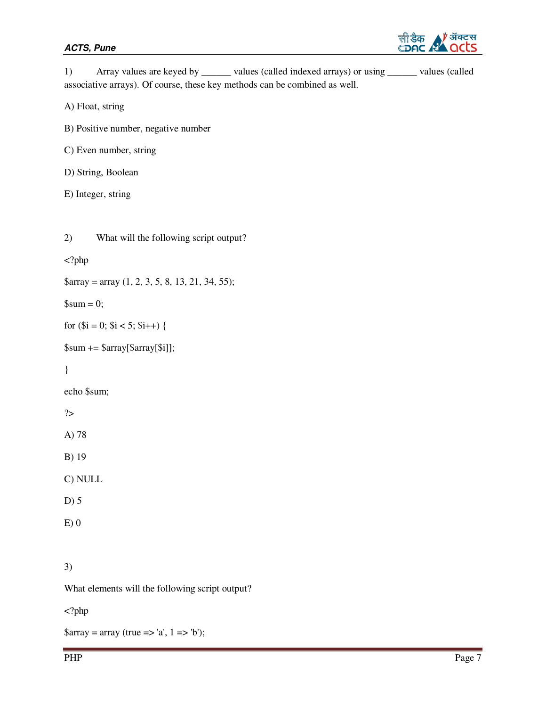

|  | values (called indexed arrays) or using __                                 | values (called |
|--|----------------------------------------------------------------------------|----------------|
|  | associative arrays). Of course, these key methods can be combined as well. |                |

A) Float, string

B) Positive number, negative number

C) Even number, string

D) String, Boolean

E) Integer, string

<?php

 $\text{Sarray} = \text{array} (1, 2, 3, 5, 8, 13, 21, 34, 55);$ 

 $\mathcal{S}$ sum = 0;

for  $(\$i = 0; \$i < 5; \$i++)$  {

\$sum += \$array[\$array[\$i]];

}

echo \$sum;

?>

A) 78

B) 19

C) NULL

D) 5

 $E(0)$ 

3)

What elements will the following script output?

<?php

 $\text{Sarray} = \text{array}$  (true => 'a', 1 => 'b');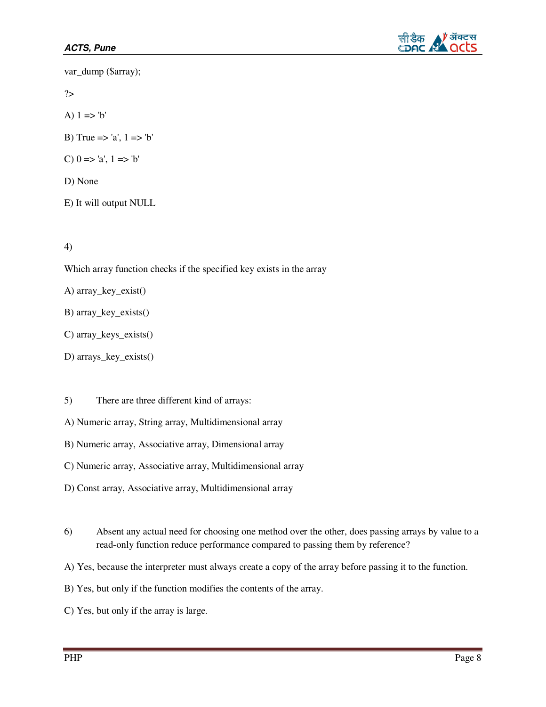

var\_dump (\$array);

?>

A)  $1 \Rightarrow b'$ 

- B) True => 'a',  $1 =$  > 'b'
- C)  $0 \Rightarrow 'a', 1 \Rightarrow 'b'$
- D) None
- E) It will output NULL

4)

Which array function checks if the specified key exists in the array

A) array\_key\_exist()

- B) array\_key\_exists()
- C) array\_keys\_exists()
- D) arrays\_key\_exists()
- 5) There are three different kind of arrays:
- A) Numeric array, String array, Multidimensional array
- B) Numeric array, Associative array, Dimensional array
- C) Numeric array, Associative array, Multidimensional array
- D) Const array, Associative array, Multidimensional array
- 6) Absent any actual need for choosing one method over the other, does passing arrays by value to a read-only function reduce performance compared to passing them by reference?
- A) Yes, because the interpreter must always create a copy of the array before passing it to the function.
- B) Yes, but only if the function modifies the contents of the array.
- C) Yes, but only if the array is large.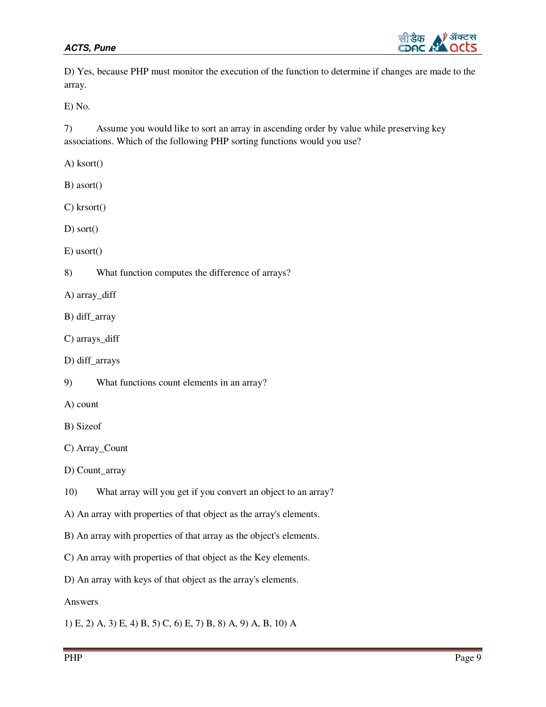

D) Yes, because PHP must monitor the execution of the function to determine if changes are made to the array.

E) No.

7) Assume you would like to sort an array in ascending order by value while preserving key associations. Which of the following PHP sorting functions would you use?

A) ksort()

B) asort()

C) krsort()

D) sort()

E) usort()

8) What function computes the difference of arrays?

A) array\_diff

B) diff\_array

C) arrays\_diff

D) diff\_arrays

9) What functions count elements in an array?

A) count

B) Sizeof

C) Array\_Count

D) Count\_array

10) What array will you get if you convert an object to an array?

A) An array with properties of that object as the array's elements.

B) An array with properties of that array as the object's elements.

C) An array with properties of that object as the Key elements.

D) An array with keys of that object as the array's elements.

Answers

1) E, 2) A, 3) E, 4) B, 5) C, 6) E, 7) B, 8) A, 9) A, B, 10) A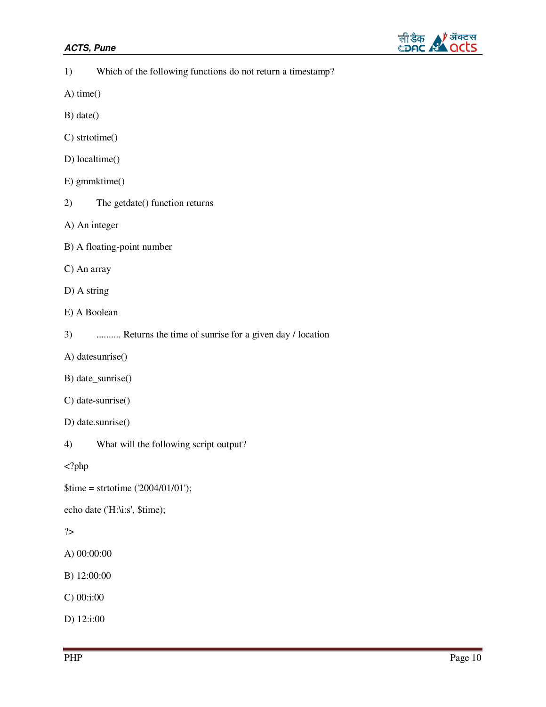

| Which of the following functions do not return a timestamp?<br>1) |  |
|-------------------------------------------------------------------|--|
|-------------------------------------------------------------------|--|

- A) time()
- B) date()
- C) strtotime()
- D) localtime()
- E) gmmktime()
- 2) The getdate() function returns
- A) An integer
- B) A floating-point number
- C) An array
- D) A string
- E) A Boolean
- 3) .......... Returns the time of sunrise for a given day / location
- A) datesunrise()
- B) date\_sunrise()
- C) date-sunrise()
- D) date.sunrise()
- 4) What will the following script output?

<?php

\$time = strtotime ('2004/01/01');

echo date ('H:\i:s', \$time);

### ?>

A) 00:00:00

- B) 12:00:00
- C) 00:i:00

D) 12:i:00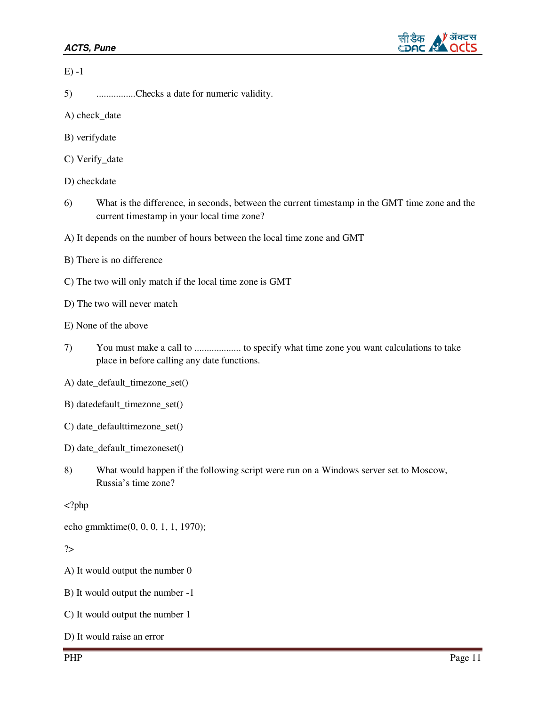

|--|--|

- 5) ................Checks a date for numeric validity.
- A) check\_date
- B) verifydate
- C) Verify\_date
- D) checkdate
- 6) What is the difference, in seconds, between the current timestamp in the GMT time zone and the current timestamp in your local time zone?
- A) It depends on the number of hours between the local time zone and GMT
- B) There is no difference
- C) The two will only match if the local time zone is GMT
- D) The two will never match
- E) None of the above
- 7) You must make a call to ................... to specify what time zone you want calculations to take place in before calling any date functions.
- A) date\_default\_timezone\_set()
- B) datedefault\_timezone\_set()
- C) date\_defaulttimezone\_set()
- D) date\_default\_timezoneset()
- 8) What would happen if the following script were run on a Windows server set to Moscow, Russia's time zone?

<?php

echo gmmktime(0, 0, 0, 1, 1, 1970);

?>

A) It would output the number 0

- B) It would output the number -1
- C) It would output the number 1
- D) It would raise an error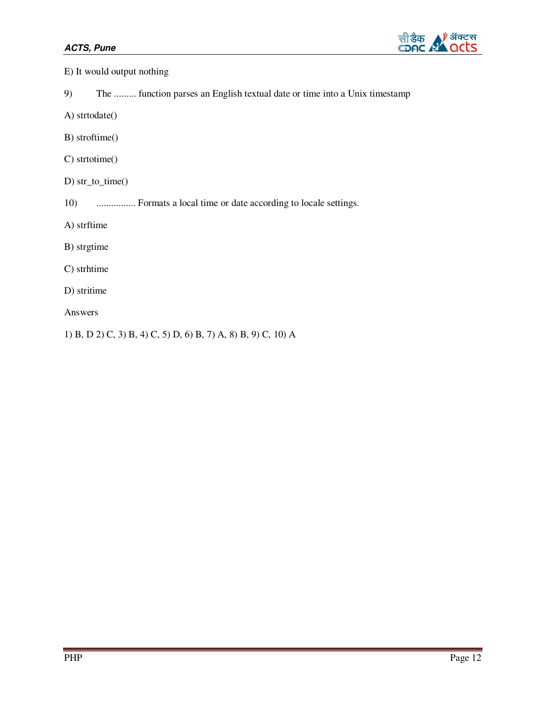

- E) It would output nothing
- 9) The ......... function parses an English textual date or time into a Unix timestamp
- A) strtodate()
- B) stroftime()
- C) strtotime()
- D) str\_to\_time()
- 10) ................ Formats a local time or date according to locale settings.
- A) strftime
- B) strgtime
- C) strhtime
- D) stritime
- Answers
- 1) B, D 2) C, 3) B, 4) C, 5) D, 6) B, 7) A, 8) B, 9) C, 10) A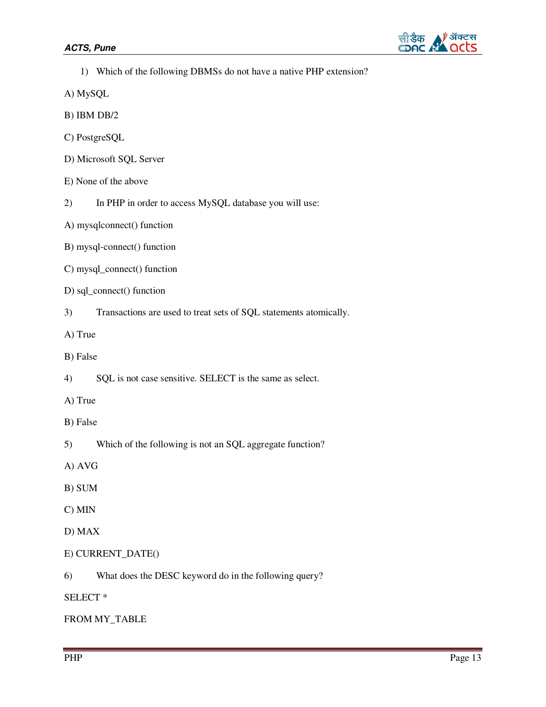

- 1) Which of the following DBMSs do not have a native PHP extension?
- A) MySQL
- B) IBM DB/2
- C) PostgreSQL
- D) Microsoft SQL Server
- E) None of the above
- 2) In PHP in order to access MySQL database you will use:
- A) mysqlconnect() function
- B) mysql-connect() function
- C) mysql\_connect() function
- D) sql\_connect() function
- 3) Transactions are used to treat sets of SQL statements atomically.
- A) True
- B) False
- 4) SQL is not case sensitive. SELECT is the same as select.
- A) True
- B) False
- 5) Which of the following is not an SQL aggregate function?
- A) AVG
- B) SUM
- C) MIN
- D) MAX
- E) CURRENT\_DATE()
- 6) What does the DESC keyword do in the following query?
- SELECT \*

#### FROM MY\_TABLE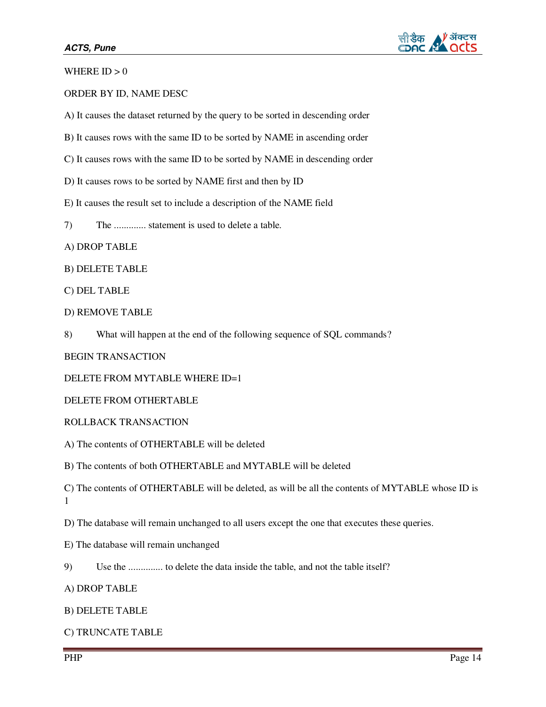

WHERE  $ID > 0$ 

ORDER BY ID, NAME DESC

A) It causes the dataset returned by the query to be sorted in descending order

B) It causes rows with the same ID to be sorted by NAME in ascending order

C) It causes rows with the same ID to be sorted by NAME in descending order

D) It causes rows to be sorted by NAME first and then by ID

E) It causes the result set to include a description of the NAME field

7) The ............. statement is used to delete a table.

A) DROP TABLE

B) DELETE TABLE

C) DEL TABLE

D) REMOVE TABLE

8) What will happen at the end of the following sequence of SQL commands?

BEGIN TRANSACTION

DELETE FROM MYTABLE WHERE ID=1

DELETE FROM OTHERTABLE

ROLLBACK TRANSACTION

A) The contents of OTHERTABLE will be deleted

B) The contents of both OTHERTABLE and MYTABLE will be deleted

C) The contents of OTHERTABLE will be deleted, as will be all the contents of MYTABLE whose ID is 1

D) The database will remain unchanged to all users except the one that executes these queries.

E) The database will remain unchanged

9) Use the .............. to delete the data inside the table, and not the table itself?

A) DROP TABLE

#### B) DELETE TABLE

C) TRUNCATE TABLE